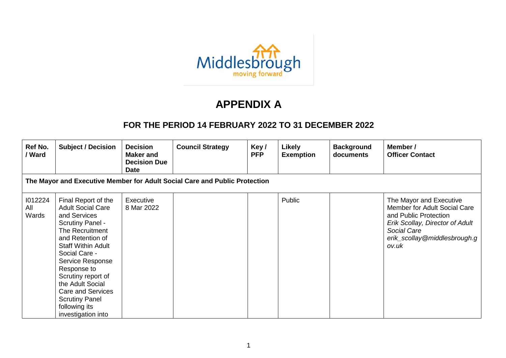

## **APPENDIX A**

## **FOR THE PERIOD 14 FEBRUARY 2022 TO 31 DECEMBER 2022**

| Ref No.<br>/ Ward       | <b>Subject / Decision</b>                                                                                                                                                                                                                                                                                                                         | <b>Decision</b><br><b>Maker</b> and<br><b>Decision Due</b><br><b>Date</b> | <b>Council Strategy</b>                                                    | Key/<br><b>PFP</b> | <b>Likely</b><br><b>Exemption</b> | <b>Background</b><br>documents | Member /<br><b>Officer Contact</b>                                                                                                                                          |
|-------------------------|---------------------------------------------------------------------------------------------------------------------------------------------------------------------------------------------------------------------------------------------------------------------------------------------------------------------------------------------------|---------------------------------------------------------------------------|----------------------------------------------------------------------------|--------------------|-----------------------------------|--------------------------------|-----------------------------------------------------------------------------------------------------------------------------------------------------------------------------|
|                         |                                                                                                                                                                                                                                                                                                                                                   |                                                                           | The Mayor and Executive Member for Adult Social Care and Public Protection |                    |                                   |                                |                                                                                                                                                                             |
| 1012224<br>All<br>Wards | Final Report of the<br><b>Adult Social Care</b><br>and Services<br><b>Scrutiny Panel -</b><br>The Recruitment<br>and Retention of<br><b>Staff Within Adult</b><br>Social Care -<br>Service Response<br>Response to<br>Scrutiny report of<br>the Adult Social<br>Care and Services<br><b>Scrutiny Panel</b><br>following its<br>investigation into | Executive<br>8 Mar 2022                                                   |                                                                            |                    | Public                            |                                | The Mayor and Executive<br>Member for Adult Social Care<br>and Public Protection<br>Erik Scollay, Director of Adult<br>Social Care<br>erik_scollay@middlesbrough.g<br>ov.uk |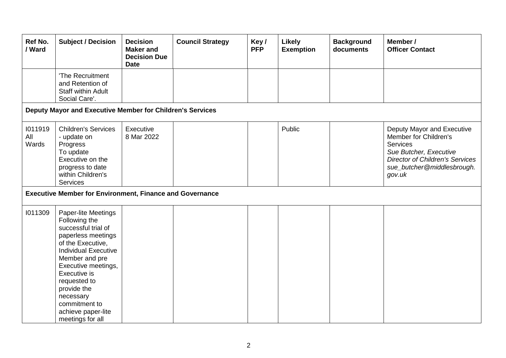| Ref No.<br>/ Ward       | <b>Subject / Decision</b>                                                                                                                                                                                                                                                                             | <b>Decision</b><br><b>Maker</b> and<br><b>Decision Due</b><br><b>Date</b> | <b>Council Strategy</b> | Key/<br><b>PFP</b> | <b>Likely</b><br><b>Exemption</b> | <b>Background</b><br>documents | Member /<br><b>Officer Contact</b>                                                                                                                                          |
|-------------------------|-------------------------------------------------------------------------------------------------------------------------------------------------------------------------------------------------------------------------------------------------------------------------------------------------------|---------------------------------------------------------------------------|-------------------------|--------------------|-----------------------------------|--------------------------------|-----------------------------------------------------------------------------------------------------------------------------------------------------------------------------|
|                         | 'The Recruitment<br>and Retention of<br>Staff within Adult<br>Social Care'.                                                                                                                                                                                                                           |                                                                           |                         |                    |                                   |                                |                                                                                                                                                                             |
|                         | Deputy Mayor and Executive Member for Children's Services                                                                                                                                                                                                                                             |                                                                           |                         |                    |                                   |                                |                                                                                                                                                                             |
| 1011919<br>All<br>Wards | <b>Children's Services</b><br>- update on<br>Progress<br>To update<br>Executive on the<br>progress to date<br>within Children's<br><b>Services</b>                                                                                                                                                    | Executive<br>8 Mar 2022                                                   |                         |                    | Public                            |                                | Deputy Mayor and Executive<br>Member for Children's<br>Services<br>Sue Butcher, Executive<br><b>Director of Children's Services</b><br>sue_butcher@middlesbrough.<br>gov.uk |
|                         | <b>Executive Member for Environment, Finance and Governance</b>                                                                                                                                                                                                                                       |                                                                           |                         |                    |                                   |                                |                                                                                                                                                                             |
| 1011309                 | Paper-lite Meetings<br>Following the<br>successful trial of<br>paperless meetings<br>of the Executive,<br><b>Individual Executive</b><br>Member and pre<br>Executive meetings,<br>Executive is<br>requested to<br>provide the<br>necessary<br>commitment to<br>achieve paper-lite<br>meetings for all |                                                                           |                         |                    |                                   |                                |                                                                                                                                                                             |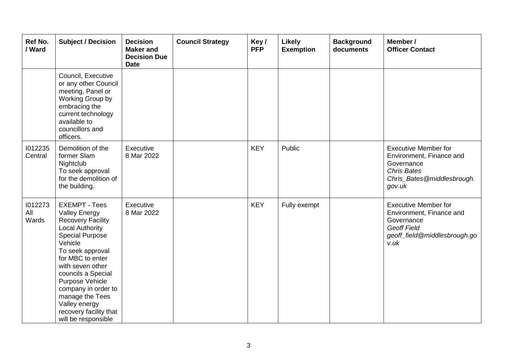| Ref No.<br>/ Ward       | <b>Subject / Decision</b>                                                                                                                                                                                                                                                                                                                                | <b>Decision</b><br><b>Maker</b> and<br><b>Decision Due</b><br><b>Date</b> | <b>Council Strategy</b> | Key/<br><b>PFP</b> | Likely<br><b>Exemption</b> | <b>Background</b><br>documents | Member /<br><b>Officer Contact</b>                                                                                                  |
|-------------------------|----------------------------------------------------------------------------------------------------------------------------------------------------------------------------------------------------------------------------------------------------------------------------------------------------------------------------------------------------------|---------------------------------------------------------------------------|-------------------------|--------------------|----------------------------|--------------------------------|-------------------------------------------------------------------------------------------------------------------------------------|
|                         | Council, Executive<br>or any other Council<br>meeting, Panel or<br>Working Group by<br>embracing the<br>current technology<br>available to<br>councillors and<br>officers.                                                                                                                                                                               |                                                                           |                         |                    |                            |                                |                                                                                                                                     |
| 1012235<br>Central      | Demolition of the<br>former Slam<br>Nightclub<br>To seek approval<br>for the demolition of<br>the building.                                                                                                                                                                                                                                              | Executive<br>8 Mar 2022                                                   |                         | <b>KEY</b>         | Public                     |                                | <b>Executive Member for</b><br>Environment, Finance and<br>Governance<br><b>Chris Bates</b><br>Chris_Bates@middlesbrough.<br>gov.uk |
| 1012273<br>All<br>Wards | <b>EXEMPT - Tees</b><br><b>Valley Energy</b><br><b>Recovery Facility</b><br><b>Local Authority</b><br><b>Special Purpose</b><br>Vehicle<br>To seek approval<br>for MBC to enter<br>with seven other<br>councils a Special<br>Purpose Vehicle<br>company in order to<br>manage the Tees<br>Valley energy<br>recovery facility that<br>will be responsible | Executive<br>8 Mar 2022                                                   |                         | <b>KEY</b>         | Fully exempt               |                                | <b>Executive Member for</b><br>Environment, Finance and<br>Governance<br><b>Geoff Field</b><br>geoff_field@middlesbrough.go<br>v.uk |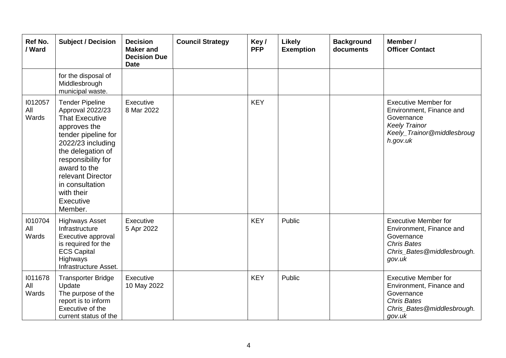| Ref No.<br>/ Ward       | <b>Subject / Decision</b>                                                                                                                                                                                                                                                | <b>Decision</b><br><b>Maker and</b><br><b>Decision Due</b><br><b>Date</b> | <b>Council Strategy</b> | Key/<br><b>PFP</b> | Likely<br><b>Exemption</b> | <b>Background</b><br>documents | Member /<br><b>Officer Contact</b>                                                                                                      |
|-------------------------|--------------------------------------------------------------------------------------------------------------------------------------------------------------------------------------------------------------------------------------------------------------------------|---------------------------------------------------------------------------|-------------------------|--------------------|----------------------------|--------------------------------|-----------------------------------------------------------------------------------------------------------------------------------------|
|                         | for the disposal of<br>Middlesbrough<br>municipal waste.                                                                                                                                                                                                                 |                                                                           |                         |                    |                            |                                |                                                                                                                                         |
| 1012057<br>All<br>Wards | <b>Tender Pipeline</b><br>Approval 2022/23<br><b>That Executive</b><br>approves the<br>tender pipeline for<br>2022/23 including<br>the delegation of<br>responsibility for<br>award to the<br>relevant Director<br>in consultation<br>with their<br>Executive<br>Member. | Executive<br>8 Mar 2022                                                   |                         | <b>KEY</b>         |                            |                                | <b>Executive Member for</b><br>Environment, Finance and<br>Governance<br><b>Keely Trainor</b><br>Keely_Trainor@middlesbroug<br>h.gov.uk |
| 1010704<br>All<br>Wards | <b>Highways Asset</b><br>Infrastructure<br>Executive approval<br>is required for the<br><b>ECS Capital</b><br>Highways<br>Infrastructure Asset.                                                                                                                          | Executive<br>5 Apr 2022                                                   |                         | <b>KEY</b>         | Public                     |                                | <b>Executive Member for</b><br>Environment, Finance and<br>Governance<br><b>Chris Bates</b><br>Chris_Bates@middlesbrough.<br>gov.uk     |
| 1011678<br>All<br>Wards | <b>Transporter Bridge</b><br>Update<br>The purpose of the<br>report is to inform<br>Executive of the<br>current status of the                                                                                                                                            | Executive<br>10 May 2022                                                  |                         | <b>KEY</b>         | Public                     |                                | <b>Executive Member for</b><br>Environment, Finance and<br>Governance<br><b>Chris Bates</b><br>Chris_Bates@middlesbrough.<br>gov.uk     |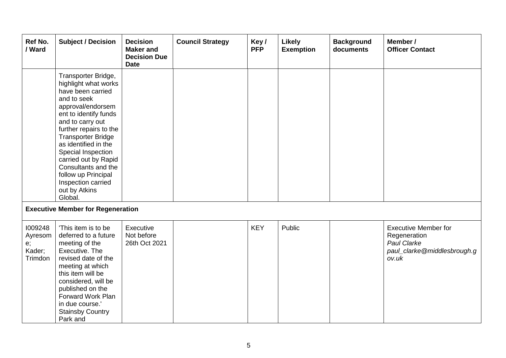| Ref No.<br>/ Ward                             | <b>Subject / Decision</b>                                                                                                                                                                                                                                                                                                                                                      | <b>Decision</b><br><b>Maker and</b><br><b>Decision Due</b><br><b>Date</b> | <b>Council Strategy</b> | Key/<br><b>PFP</b> | <b>Likely</b><br><b>Exemption</b> | <b>Background</b><br>documents | Member /<br><b>Officer Contact</b>                                                                 |
|-----------------------------------------------|--------------------------------------------------------------------------------------------------------------------------------------------------------------------------------------------------------------------------------------------------------------------------------------------------------------------------------------------------------------------------------|---------------------------------------------------------------------------|-------------------------|--------------------|-----------------------------------|--------------------------------|----------------------------------------------------------------------------------------------------|
|                                               | Transporter Bridge,<br>highlight what works<br>have been carried<br>and to seek<br>approval/endorsem<br>ent to identify funds<br>and to carry out<br>further repairs to the<br><b>Transporter Bridge</b><br>as identified in the<br>Special Inspection<br>carried out by Rapid<br>Consultants and the<br>follow up Principal<br>Inspection carried<br>out by Atkins<br>Global. |                                                                           |                         |                    |                                   |                                |                                                                                                    |
|                                               | <b>Executive Member for Regeneration</b>                                                                                                                                                                                                                                                                                                                                       |                                                                           |                         |                    |                                   |                                |                                                                                                    |
| 1009248<br>Ayresom<br>e;<br>Kader;<br>Trimdon | 'This item is to be<br>deferred to a future<br>meeting of the<br>Executive. The<br>revised date of the<br>meeting at which<br>this item will be<br>considered, will be<br>published on the<br>Forward Work Plan<br>in due course.'<br><b>Stainsby Country</b><br>Park and                                                                                                      | Executive<br>Not before<br>26th Oct 2021                                  |                         | <b>KEY</b>         | Public                            |                                | <b>Executive Member for</b><br>Regeneration<br>Paul Clarke<br>paul_clarke@middlesbrough.g<br>ov.uk |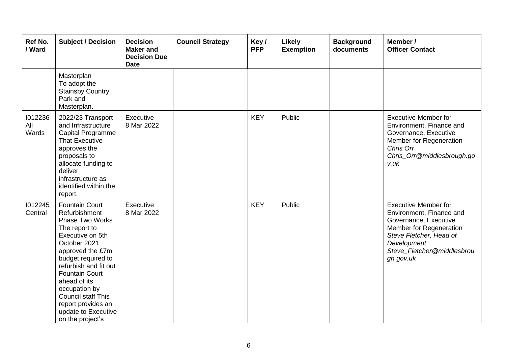| Ref No.<br>/ Ward       | <b>Subject / Decision</b>                                                                                                                                                                                                                                                                                                                        | <b>Decision</b><br><b>Maker and</b><br><b>Decision Due</b><br><b>Date</b> | <b>Council Strategy</b> | Key/<br><b>PFP</b> | <b>Likely</b><br><b>Exemption</b> | <b>Background</b><br>documents | Member /<br><b>Officer Contact</b>                                                                                                                                                               |
|-------------------------|--------------------------------------------------------------------------------------------------------------------------------------------------------------------------------------------------------------------------------------------------------------------------------------------------------------------------------------------------|---------------------------------------------------------------------------|-------------------------|--------------------|-----------------------------------|--------------------------------|--------------------------------------------------------------------------------------------------------------------------------------------------------------------------------------------------|
|                         | Masterplan<br>To adopt the<br><b>Stainsby Country</b><br>Park and<br>Masterplan.                                                                                                                                                                                                                                                                 |                                                                           |                         |                    |                                   |                                |                                                                                                                                                                                                  |
| 1012236<br>All<br>Wards | 2022/23 Transport<br>and Infrastructure<br>Capital Programme<br><b>That Executive</b><br>approves the<br>proposals to<br>allocate funding to<br>deliver<br>infrastructure as<br>identified within the<br>report.                                                                                                                                 | Executive<br>8 Mar 2022                                                   |                         | <b>KEY</b>         | Public                            |                                | <b>Executive Member for</b><br>Environment, Finance and<br>Governance, Executive<br>Member for Regeneration<br>Chris Orr<br>Chris_Orr@middlesbrough.go<br>v.uk                                   |
| 1012245<br>Central      | <b>Fountain Court</b><br>Refurbishment<br><b>Phase Two Works</b><br>The report to<br>Executive on 5th<br>October 2021<br>approved the £7m<br>budget required to<br>refurbish and fit out<br><b>Fountain Court</b><br>ahead of its<br>occupation by<br><b>Council staff This</b><br>report provides an<br>update to Executive<br>on the project's | Executive<br>8 Mar 2022                                                   |                         | <b>KEY</b>         | Public                            |                                | <b>Executive Member for</b><br>Environment, Finance and<br>Governance, Executive<br>Member for Regeneration<br>Steve Fletcher, Head of<br>Development<br>Steve_Fletcher@middlesbrou<br>gh.gov.uk |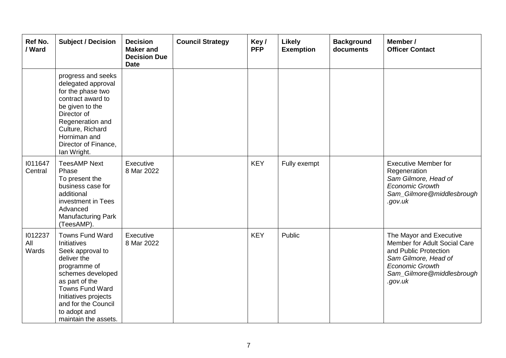| Ref No.<br>/ Ward       | <b>Subject / Decision</b>                                                                                                                                                                                                          | <b>Decision</b><br><b>Maker and</b><br><b>Decision Due</b><br><b>Date</b> | <b>Council Strategy</b> | Key/<br><b>PFP</b> | Likely<br><b>Exemption</b> | <b>Background</b><br>documents | Member /<br><b>Officer Contact</b>                                                                                                                                         |
|-------------------------|------------------------------------------------------------------------------------------------------------------------------------------------------------------------------------------------------------------------------------|---------------------------------------------------------------------------|-------------------------|--------------------|----------------------------|--------------------------------|----------------------------------------------------------------------------------------------------------------------------------------------------------------------------|
|                         | progress and seeks<br>delegated approval<br>for the phase two<br>contract award to<br>be given to the<br>Director of<br>Regeneration and<br>Culture, Richard<br>Horniman and<br>Director of Finance,<br>lan Wright.                |                                                                           |                         |                    |                            |                                |                                                                                                                                                                            |
| 1011647<br>Central      | <b>TeesAMP Next</b><br>Phase<br>To present the<br>business case for<br>additional<br>investment in Tees<br>Advanced<br>Manufacturing Park<br>(TeesAMP).                                                                            | Executive<br>8 Mar 2022                                                   |                         | <b>KEY</b>         | Fully exempt               |                                | <b>Executive Member for</b><br>Regeneration<br>Sam Gilmore, Head of<br><b>Economic Growth</b><br>Sam_Gilmore@middlesbrough<br>.gov.uk                                      |
| 1012237<br>All<br>Wards | Towns Fund Ward<br>Initiatives<br>Seek approval to<br>deliver the<br>programme of<br>schemes developed<br>as part of the<br>Towns Fund Ward<br>Initiatives projects<br>and for the Council<br>to adopt and<br>maintain the assets. | Executive<br>8 Mar 2022                                                   |                         | <b>KEY</b>         | Public                     |                                | The Mayor and Executive<br>Member for Adult Social Care<br>and Public Protection<br>Sam Gilmore, Head of<br><b>Economic Growth</b><br>Sam_Gilmore@middlesbrough<br>.gov.uk |